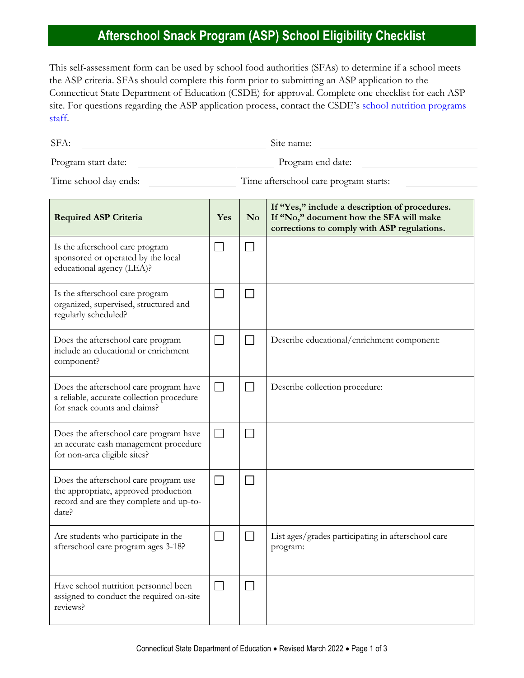## **Afterschool Snack Program (ASP) School Eligibility Checklist**

This self-assessment form can be used by school food authorities (SFAs) to determine if a school meets the ASP criteria. SFAs should complete this form prior to submitting an ASP application to the Connecticut State Department of Education (CSDE) for approval. Complete one checklist for each ASP site. For questions regarding the ASP application process, contact the CSDE's [school nutrition programs](https://portal.ct.gov/SDE/Nutrition/Contact-Information-for-School-Nutrition-Programs)  [staff.](https://portal.ct.gov/SDE/Nutrition/Contact-Information-for-School-Nutrition-Programs)

| SFA:                                                                                                                              |                          |                | Site name:                                                                                                                               |
|-----------------------------------------------------------------------------------------------------------------------------------|--------------------------|----------------|------------------------------------------------------------------------------------------------------------------------------------------|
| Program end date:<br>Program start date:                                                                                          |                          |                |                                                                                                                                          |
| Time afterschool care program starts:<br>Time school day ends:                                                                    |                          |                |                                                                                                                                          |
| <b>Required ASP Criteria</b>                                                                                                      | Yes                      | N <sub>0</sub> | If "Yes," include a description of procedures.<br>If "No," document how the SFA will make<br>corrections to comply with ASP regulations. |
| Is the afterschool care program<br>sponsored or operated by the local<br>educational agency (LEA)?                                |                          |                |                                                                                                                                          |
| Is the afterschool care program<br>organized, supervised, structured and<br>regularly scheduled?                                  | $\mathbf{L}$             |                |                                                                                                                                          |
| Does the afterschool care program<br>include an educational or enrichment<br>component?                                           | $\overline{\phantom{0}}$ |                | Describe educational/enrichment component:                                                                                               |
| Does the afterschool care program have<br>a reliable, accurate collection procedure<br>for snack counts and claims?               | П                        |                | Describe collection procedure:                                                                                                           |
| Does the afterschool care program have<br>an accurate cash management procedure<br>for non-area eligible sites?                   | $\Box$                   |                |                                                                                                                                          |
| Does the afterschool care program use<br>the appropriate, approved production<br>record and are they complete and up-to-<br>date? |                          |                |                                                                                                                                          |
| Are students who participate in the<br>afterschool care program ages 3-18?                                                        | $\sim$                   |                | List ages/grades participating in afterschool care<br>program:                                                                           |
| Have school nutrition personnel been<br>assigned to conduct the required on-site                                                  | $\Box$                   |                |                                                                                                                                          |

reviews?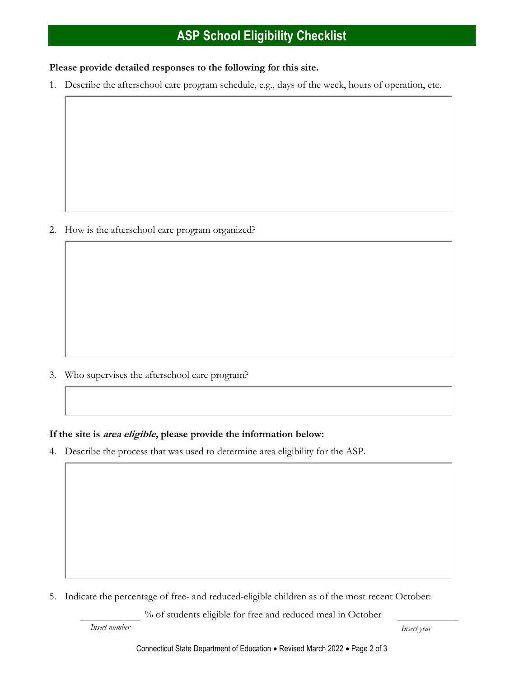# **ASP School Eligibility Checklist**

#### **Please provide detailed responses to the following for this site.**

1. Describe the afterschool care program schedule, e.g., days of the week, hours of operation, etc.

2. How is the afterschool care program organized?

3. Who supervises the afterschool care program?

#### **If the site is area eligible, please provide the information below:**

4. Describe the process that was used to determine area eligibility for the ASP.

5. Indicate the percentage of free- and reduced-eligible children as of the most recent October:

% of students eligible for free and reduced meal in October

*Insert number Insert year*